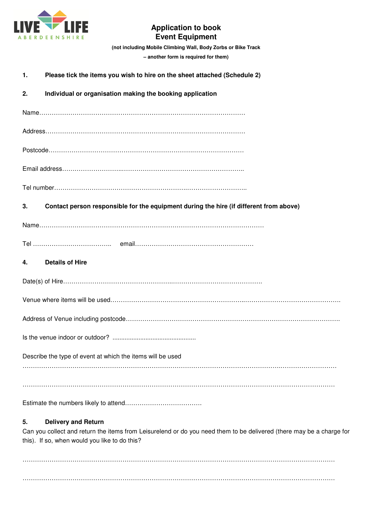

## **Application to book Event Equipment**

**(not including Mobile Climbing Wall, Body Zorbs or Bike Track – another form is required for them)**

| 1. | Please tick the items you wish to hire on the sheet attached (Schedule 2)              |
|----|----------------------------------------------------------------------------------------|
| 2. | Individual or organisation making the booking application                              |
|    |                                                                                        |
|    |                                                                                        |
|    |                                                                                        |
|    |                                                                                        |
|    |                                                                                        |
| 3. | Contact person responsible for the equipment during the hire (if different from above) |
|    |                                                                                        |
|    |                                                                                        |
| 4. | <b>Details of Hire</b>                                                                 |
|    |                                                                                        |
|    |                                                                                        |
|    |                                                                                        |
|    |                                                                                        |
|    | Describe the type of event at which the items will be used                             |
|    |                                                                                        |
|    |                                                                                        |

## **5. Delivery and Return**

Can you collect and return the items from Leisurelend or do you need them to be delivered (there may be a charge for this). If so, when would you like to do this?

…………………………………………………………………………………………………………………………………… ……………………………………………………………………………………………………………………………………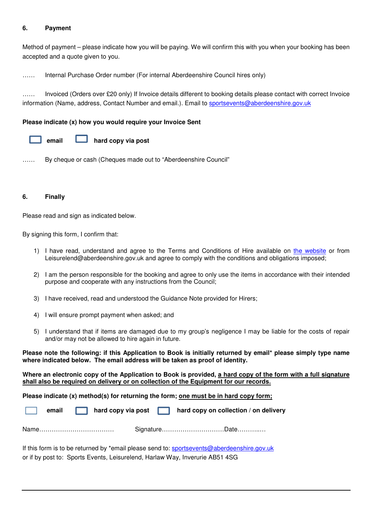#### **6. Payment**

Method of payment – please indicate how you will be paying. We will confirm this with you when your booking has been accepted and a quote given to you.

…… Internal Purchase Order number (For internal Aberdeenshire Council hires only)

…… Invoiced (Orders over £20 only) If Invoice details different to booking details please contact with correct Invoice information (Name, address, Contact Number and email.). Email to sportsevents@aberdeenshire.gov.uk

#### **Please indicate (x) how you would require your Invoice Sent**



…… By cheque or cash (Cheques made out to "Aberdeenshire Council"

#### **6. Finally**

Please read and sign as indicated below.

By signing this form, I confirm that:

- 1) I have read, understand and agree to the Terms and Conditions of Hire available on the website or from Leisurelend@aberdeenshire.gov.uk and agree to comply with the conditions and obligations imposed;
- 2) I am the person responsible for the booking and agree to only use the items in accordance with their intended purpose and cooperate with any instructions from the Council;
- 3) I have received, read and understood the Guidance Note provided for Hirers;
- 4) I will ensure prompt payment when asked; and
- 5) I understand that if items are damaged due to my group's negligence I may be liable for the costs of repair and/or may not be allowed to hire again in future.

**Please note the following: if this Application to Book is initially returned by email\* please simply type name where indicated below. The email address will be taken as proof of identity.** 

**Where an electronic copy of the Application to Book is provided, a hard copy of the form with a full signature shall also be required on delivery or on collection of the Equipment for our records.** 

**Please indicate (x) method(s) for returning the form; one must be in hard copy form;** 

**email nard copy via post notation hard copy on collection** / on delivery

Name……………………………… Signature…………………………Date………..…

If this form is to be returned by \*email please send to: sportsevents@aberdeenshire.gov.uk or if by post to: Sports Events, Leisurelend, Harlaw Way, Inverurie AB51 4SG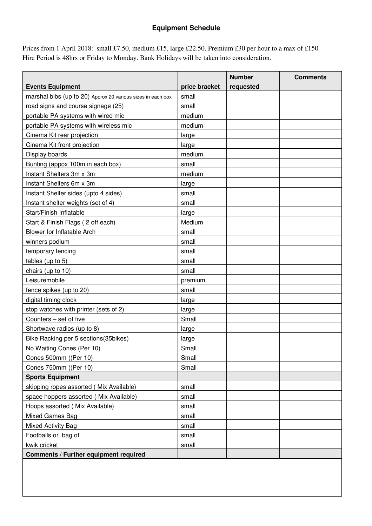# **Equipment Schedule**

Prices from 1 April 2018: small £7.50, medium £15, large £22.50, Premium £30 per hour to a max of £150 Hire Period is 48hrs or Friday to Monday. Bank Holidays will be taken into consideration.

|                                                             |               | <b>Number</b> | <b>Comments</b> |  |
|-------------------------------------------------------------|---------------|---------------|-----------------|--|
| <b>Events Equipment</b>                                     | price bracket | requested     |                 |  |
| marshal bibs (up to 20) Approx 20 various sizes in each box | small         |               |                 |  |
| road signs and course signage (25)                          | small         |               |                 |  |
| portable PA systems with wired mic                          | medium        |               |                 |  |
| portable PA systems with wireless mic                       | medium        |               |                 |  |
| Cinema Kit rear projection                                  | large         |               |                 |  |
| Cinema Kit front projection                                 | large         |               |                 |  |
| Display boards                                              | medium        |               |                 |  |
| Bunting (appox 100m in each box)                            | small         |               |                 |  |
| Instant Shelters 3m x 3m                                    | medium        |               |                 |  |
| Instant Shelters 6m x 3m                                    | large         |               |                 |  |
| Instant Shelter sides (upto 4 sides)                        | small         |               |                 |  |
| Instant shelter weights (set of 4)                          | small         |               |                 |  |
| Start/Finish Inflatable                                     | large         |               |                 |  |
| Start & Finish Flags (2 off each)                           | Medium        |               |                 |  |
| <b>Blower for Inflatable Arch</b>                           | small         |               |                 |  |
| winners podium                                              | small         |               |                 |  |
| temporary fencing                                           | small         |               |                 |  |
| tables (up to 5)                                            | small         |               |                 |  |
| chairs (up to 10)                                           | small         |               |                 |  |
| Leisuremobile                                               | premium       |               |                 |  |
| fence spikes (up to 20)                                     | small         |               |                 |  |
| digital timing clock                                        | large         |               |                 |  |
| stop watches with printer (sets of 2)                       | large         |               |                 |  |
| Counters - set of five                                      | Small         |               |                 |  |
| Shortwave radios (up to 8)                                  | large         |               |                 |  |
| Bike Racking per 5 sections (35bikes)                       | large         |               |                 |  |
| No Waiting Cones (Per 10)                                   | Small         |               |                 |  |
| Cones 500mm ((Per 10)                                       | Small         |               |                 |  |
| Cones 750mm ((Per 10)                                       | Small         |               |                 |  |
| <b>Sports Equipment</b>                                     |               |               |                 |  |
| skipping ropes assorted (Mix Available)                     | small         |               |                 |  |
| space hoppers assorted (Mix Available)                      | small         |               |                 |  |
| Hoops assorted (Mix Available)                              | small         |               |                 |  |
| Mixed Games Bag                                             | small         |               |                 |  |
| Mixed Activity Bag                                          | small         |               |                 |  |
| Footballs or bag of                                         | small         |               |                 |  |
| kwik cricket                                                | small         |               |                 |  |
| <b>Comments / Further equipment required</b>                |               |               |                 |  |